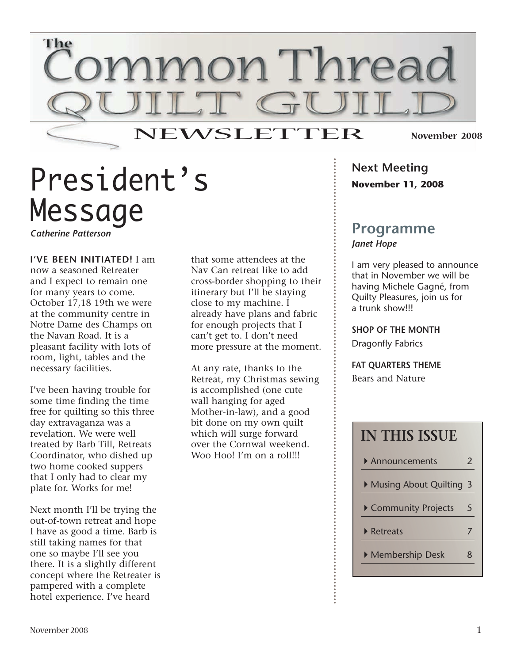

# President's Message

*Catherine Patterson*

**I'VE BEEN INITIATED!** I am now a seasoned Retreater and I expect to remain one for many years to come. October 17,18 19th we were at the community centre in Notre Dame des Champs on the Navan Road. It is a pleasant facility with lots of room, light, tables and the necessary facilities.

I've been having trouble for some time finding the time free for quilting so this three day extravaganza was a revelation. We were well treated by Barb Till, Retreats Coordinator, who dished up two home cooked suppers that I only had to clear my plate for. Works for me!

Next month I'll be trying the out-of-town retreat and hope I have as good a time. Barb is still taking names for that one so maybe I'll see you there. It is a slightly different concept where the Retreater is pampered with a complete hotel experience. I've heard

that some attendees at the Nav Can retreat like to add cross-border shopping to their itinerary but I'll be staying close to my machine. I already have plans and fabric for enough projects that I can't get to. I don't need more pressure at the moment.

At any rate, thanks to the Retreat, my Christmas sewing is accomplished (one cute wall hanging for aged Mother-in-law), and a good bit done on my own quilt which will surge forward over the Cornwal weekend. Woo Hoo! I'm on a roll!!!

**Next Meeting November 11, 2008**

### **Programme** *Janet Hope*

I am very pleased to announce that in November we will be having Michele Gagné, from Quilty Pleasures, join us for a trunk show!!!

**SHOP OF THE MONTH** Dragonfly Fabrics

**FAT QUARTERS THEME** Bears and Nature

| <b>IN THIS ISSUE</b>           |   |
|--------------------------------|---|
| Announcements                  | 2 |
| Musing About Quilting          | 3 |
| Community Projects             | 5 |
| $\blacktriangleright$ Retreats |   |
| Membership Desk                | ጸ |
|                                |   |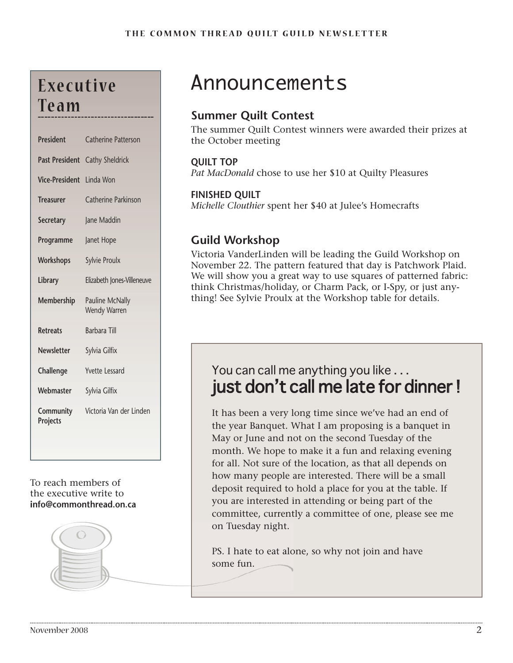# **E xe c u t i ve Te a m**

| <b>President</b>      | <b>Catherine Patterson</b>      |
|-----------------------|---------------------------------|
| <b>Past President</b> | Cathy Sheldrick                 |
| <b>Vice-President</b> | Linda Won                       |
| <b>Treasurer</b>      | <b>Catherine Parkinson</b>      |
| <b>Secretary</b>      | Jane Maddin                     |
| Programme             | Janet Hope                      |
| Workshops             | <b>Sylvie Proulx</b>            |
| Library               | Elizabeth Jones-Villeneuve      |
| Membership            | Pauline McNally<br>Wendy Warren |
| <b>Retreats</b>       | <b>Barbara Till</b>             |
| <b>Newsletter</b>     | Sylvia Gilfix                   |
| Challenge             | <b>Yvette Lessard</b>           |
| Webmaster             | Sylvia Gilfix                   |
| Community<br>Projects | Victoria Van der Linden         |
|                       |                                 |

### To reach members of the executive write to **info@commonthread.on.ca**



# Announcements

## **Summer Quilt Contest**

The summer Quilt Contest winners were awarded their prizes at the October meeting

### **QUILT TOP**

*Pat MacDonald* chose to use her \$10 at Quilty Pleasures

### **FINISHED QUILT**

*Michelle Clouthier* spent her \$40 at Julee's Homecrafts

### **Guild Workshop**

Victoria VanderLinden will be leading the Guild Workshop on November 22. The pattern featured that day is Patchwork Plaid. We will show you a great way to use squares of patterned fabric: think Christmas/holiday, or Charm Pack, or I-Spy, or just anything! See Sylvie Proulx at the Workshop table for details.

## You can call me anything you like . . . just don't call me late for dinner!

It has been a very long time since we've had an end of the year Banquet. What I am proposing is a banquet in May or June and not on the second Tuesday of the month. We hope to make it a fun and relaxing evening for all. Not sure of the location, as that all depends on how many people are interested. There will be a small deposit required to hold a place for you at the table. If you are interested in attending or being part of the committee, currently a committee of one, please see me on Tuesday night.

PS. I hate to eat alone, so why not join and have some fun.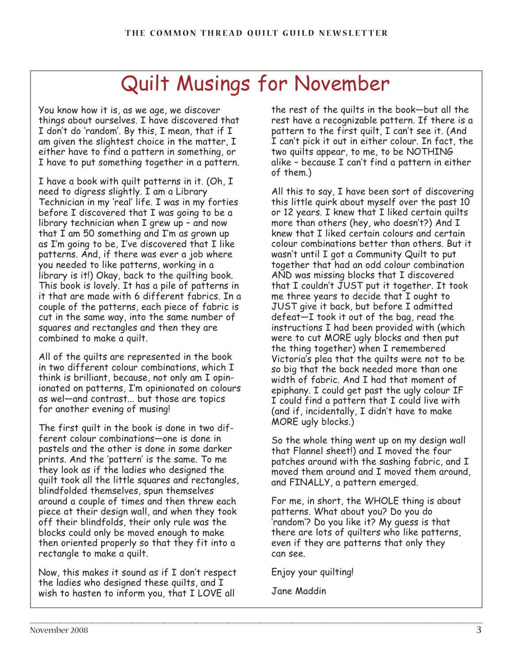# Quilt Musings for November

You know how it is, as we age, we discover things about ourselves. I have discovered that I don't do 'random'. By this, I mean, that if I am given the slightest choice in the matter, I either have to find a pattern in something, or I have to put something together in a pattern.

I have a book with quilt patterns in it. (Oh, I need to digress slightly. I am a Library Technician in my 'real' life. I was in my forties before I discovered that I was going to be a library technician when I grew up – and now that I am 50 something and I'm as grown up as I'm going to be, I've discovered that I like patterns. And, if there was ever a job where you needed to like patterns, working in a library is it!) Okay, back to the quilting book. This book is lovely. It has a pile of patterns in it that are made with 6 different fabrics. In a couple of the patterns, each piece of fabric is cut in the same way, into the same number of squares and rectangles and then they are combined to make a quilt.

All of the quilts are represented in the book in two different colour combinations, which I think is brilliant, because, not only am I opinionated on patterns, I'm opinionated on colours as wel—and contrast... but those are topics for another evening of musing!

The first quilt in the book is done in two different colour combinations—one is done in pastels and the other is done in some darker prints. And the 'pattern' is the same. To me they look as if the ladies who designed the quilt took all the little squares and rectangles, blindfolded themselves, spun themselves around a couple of times and then threw each piece at their design wall, and when they took off their blindfolds, their only rule was the blocks could only be moved enough to make then oriented properly so that they fit into a rectangle to make a quilt.

Now, this makes it sound as if I don't respect the ladies who designed these quilts, and I wish to hasten to inform you, that I LOVE all

the rest of the quilts in the book—but all the rest have a recognizable pattern. If there is a pattern to the first quilt, I can't see it. (And I can't pick it out in either colour. In fact, the two quilts appear, to me, to be NOTHING alike – because I can't find a pattern in either of them.)

All this to say, I have been sort of discovering this little quirk about myself over the past 10 or 12 years. I knew that I liked certain quilts more than others (hey, who doesn't?) And I knew that I liked certain colours and certain colour combinations better than others. But it wasn't until I got a Community Quilt to put together that had an odd colour combination AND was missing blocks that I discovered that I couldn't JUST put it together. It took me three years to decide that I ought to JUST give it back, but before I admitted defeat—I took it out of the bag, read the instructions I had been provided with (which were to cut MORE ugly blocks and then put the thing together) when I remembered Victoria's plea that the quilts were not to be so big that the back needed more than one width of fabric. And I had that moment of epiphany. I could get past the ugly colour IF I could find a pattern that I could live with (and if, incidentally, I didn't have to make MORE ugly blocks.)

So the whole thing went up on my design wall that Flannel sheet!) and I moved the four patches around with the sashing fabric, and I moved them around and I moved them around, and FINALLY, a pattern emerged.

For me, in short, the WHOLE thing is about patterns. What about you? Do you do 'random'? Do you like it? My guess is that there are lots of quilters who like patterns, even if they are patterns that only they can see.

Enjoy your quilting!

Jane Maddin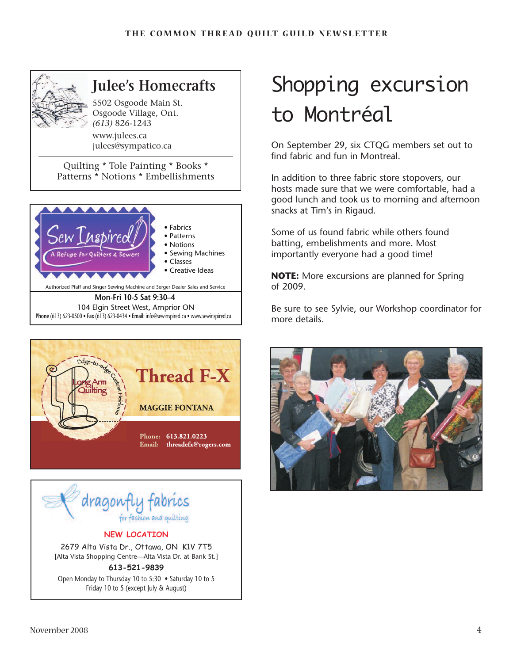

# **Julee's Homecrafts**

5502 Osgoode Main St. Osgoode Village, Ont. *(613)* 826-1243

www.julees.ca julees@sympatico.ca

Quilting \* Tole Painting \* Books \* Patterns \* Notions \* Embellishments







#### **NEW LOCATION**

2679 Alta Vista Dr., Ottawa, ON K1V 7T5 [Alta Vista Shopping Centre—Alta Vista Dr. at Bank St.]

#### **613-521-9839**

Open Monday to Thursday 10 to 5:30 • Saturday 10 to 5 Friday 10 to 5 (except July & August)

# Shopping excursion to Montréal

On September 29, six CTQG members set out to find fabric and fun in Montreal.

In addition to three fabric store stopovers, our hosts made sure that we were comfortable, had a good lunch and took us to morning and afternoon snacks at Tim's in Rigaud.

Some of us found fabric while others found batting, embelishments and more. Most importantly everyone had a good time!

**NOTE:** More excursions are planned for Spring of 2009.

Be sure to see Sylvie, our Workshop coordinator for more details.

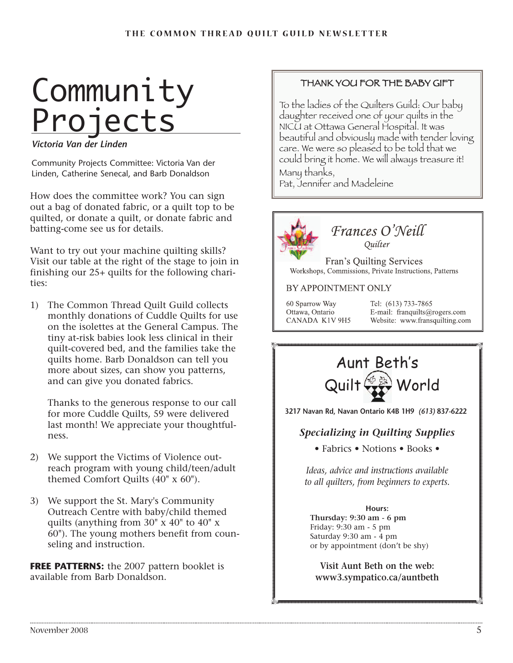# **Community** Projects

*Victoria Van der Linden*

Community Projects Committee: Victoria Van der Linden, Catherine Senecal, and Barb Donaldson

How does the committee work? You can sign out a bag of donated fabric, or a quilt top to be quilted, or donate a quilt, or donate fabric and batting-come see us for details.

Want to try out your machine quilting skills? Visit our table at the right of the stage to join in finishing our 25+ quilts for the following charities:

1) The Common Thread Quilt Guild collects monthly donations of Cuddle Quilts for use on the isolettes at the General Campus. The tiny at-risk babies look less clinical in their quilt-covered bed, and the families take the quilts home. Barb Donaldson can tell you more about sizes, can show you patterns, and can give you donated fabrics.

Thanks to the generous response to our call for more Cuddle Quilts, 59 were delivered last month! We appreciate your thoughtfulness.

- 2) We support the Victims of Violence outreach program with young child/teen/adult themed Comfort Quilts (40" x 60").
- 3) We support the St. Mary's Community Outreach Centre with baby/child themed quilts (anything from 30" x 40" to 40" x 60"). The young mothers benefit from counseling and instruction.

**FREE PATTERNS:** the 2007 pattern booklet is available from Barb Donaldson.

### THANK YOU FOR THE BABY GIFT

To the ladies of the Quilters Guild: Our baby daughter received one of your quilts in the NICU at Ottawa General Hospital. It was beautiful and obviously made with tender loving care. We were so pleased to be told that we could bring it home. We will always treasure it! Many thanks,

Pat, Jennifer and Madeleine



### Frances O'Neill Quilter

Fran's Quilting Services Workshops, Commissions, Private Instructions, Patterns

### BY APPOINTMENT ONLY

60 Sparrow Way Ottawa, Ontario CANADA K1V 9H5 Tel: (613) 733-7865 E-mail: franquilts@rogers.com Website: www.fransquilting.com



**3217 Navan Rd, Navan Ontario K4B 1H9** *(613)* **837-6222**

### *Specializing in Quilting Supplies*

• Fabrics • Notions • Books •

*Ideas, advice and instructions available to all quilters, from beginners to experts.*

### **Hours:**

**Thursday: 9:30 am - 6 pm** Friday: 9:30 am - 5 pm Saturday 9:30 am - 4 pm or by appointment (don't be shy)

**Visit Aunt Beth on the web: www3.sympatico.ca/auntbeth**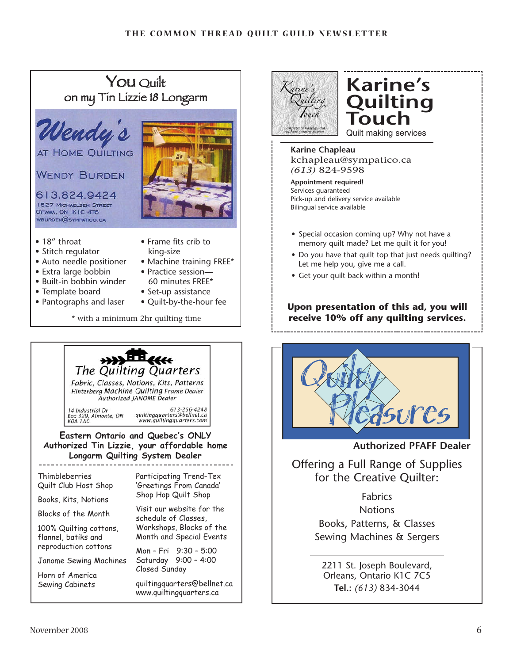## You Ouilt on my Tin Lizzie 18 Longarm







## **Karine's Quilting Touch** Quilt making services

**Karine Chapleau** kchapleau@sympatico.ca *(613)* 824-9598

**Appointment required!** Services guaranteed Pick-up and delivery service available Bilingual service available

- Special occasion coming up? Why not have a memory quilt made? Let me quilt it for you!
- Do you have that quilt top that just needs quilting? Let me help you, give me a call.
- Get your quilt back within a month!

### **Upon presentation of this ad, you will receive 10% off any quilting services.**



**Authorized PFAFF Dealer**

Offering a Full Range of Supplies for the Creative Quilter:

> Fabrics **Notions** Books, Patterns, & Classes Sewing Machines & Sergers

2211 St. Joseph Boulevard, Orleans, Ontario K1C 7C5 **Tel.:** *(613)* 834-3044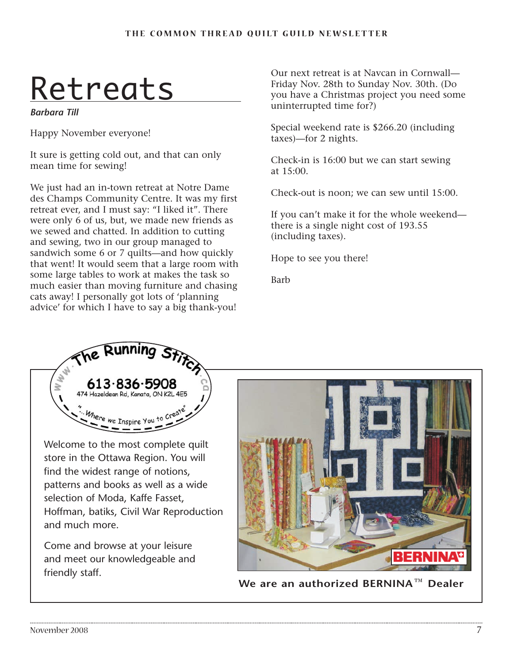# Retreats

*Barbara Till*

Happy November everyone!

It sure is getting cold out, and that can only mean time for sewing!

We just had an in-town retreat at Notre Dame des Champs Community Centre. It was my first retreat ever, and I must say: "I liked it". There were only 6 of us, but, we made new friends as we sewed and chatted. In addition to cutting and sewing, two in our group managed to sandwich some 6 or 7 quilts—and how quickly that went! It would seem that a large room with some large tables to work at makes the task so much easier than moving furniture and chasing cats away! I personally got lots of 'planning advice' for which I have to say a big thank-you!

Our next retreat is at Navcan in Cornwall— Friday Nov. 28th to Sunday Nov. 30th. (Do you have a Christmas project you need some uninterrupted time for?)

Special weekend rate is \$266.20 (including taxes)—for 2 nights.

Check-in is 16:00 but we can start sewing at 15:00.

Check-out is noon; we can sew until 15:00.

If you can't make it for the whole weekend there is a single night cost of 193.55 (including taxes).

Hope to see you there!

Barb



Welcome to the most complete quilt store in the Ottawa Region. You will find the widest range of notions, patterns and books as well as a wide selection of Moda, Kaffe Fasset, Hoffman, batiks, Civil War Reproduction and much more.

Come and browse at your leisure and meet our knowledgeable and friendly staff.



**We are an authorized BERNINA<sup>™</sup> Dealer**